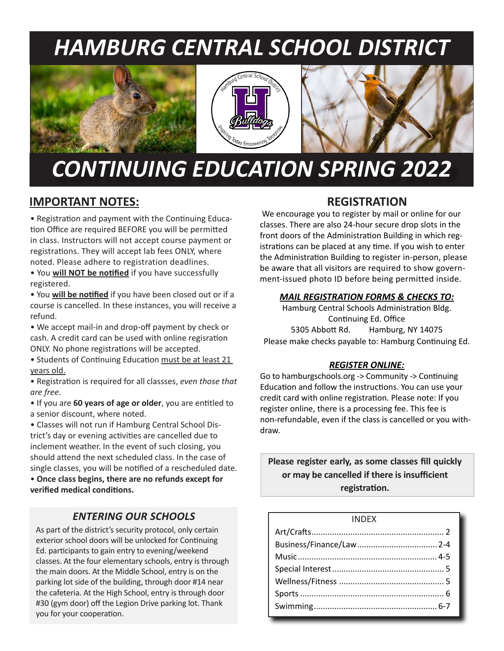# *HAMBURG CENTRAL SCHOOL DISTRICT*







# *CONTINUING EDUCATION SPRING 2022*

# **IMPORTANT NOTES:**

• Registration and payment with the Continuing Education Office are required BEFORE you will be permitted in class. Instructors will not accept course payment or registrations. They will accept lab fees ONLY, where noted. Please adhere to registration deadlines.

• You **will NOT be notified** if you have successfully registered.

• You **will be notified** if you have been closed out or if a course is cancelled. In these instances, you will receive a refund.

• We accept mail-in and drop-off payment by check or cash. A credit card can be used with online regisration ONLY. No phone registrations will be accepted.

• Students of Continuing Education must be at least 21 years old.

• Registration is required for all classses, *even those that are free*.

• If you are **60 years of age or older**, you are entitled to a senior discount, where noted.

• Classes will not run if Hamburg Central School District's day or evening activities are cancelled due to inclement weather. In the event of such closing, you should attend the next scheduled class. In the case of single classes, you will be notified of a rescheduled date.

• **Once class begins, there are no refunds except for verified medical conditions.**

### *ENTERING OUR SCHOOLS*

As part of the district's security protocol, only certain exterior school doors will be unlocked for Continuing Ed. participants to gain entry to evening/weekend classes. At the four elementary schools, entry is through the main doors. At the Middle School, entry is on the parking lot side of the building, through door #14 near the cafeteria. At the High School, entry is through door #30 (gym door) off the Legion Drive parking lot. Thank you for your cooperation.

### **REGISTRATION**

 We encourage you to register by mail or online for our classes. There are also 24-hour secure drop slots in the front doors of the Administration Building in which registrations can be placed at any time. If you wish to enter the Administration Building to register in-person, please be aware that all visitors are required to show government-issued photo ID before being permitted inside.

### *MAIL REGISTRATION FORMS & CHECKS TO:*

Hamburg Central Schools Administration Bldg. Continuing Ed. Office 5305 Abbott Rd. Hamburg, NY 14075 Please make checks payable to: Hamburg Continuing Ed.

### *REGISTER ONLINE:*

Go to hamburgschools.org -> Community -> Continuing Education and follow the instructions. You can use your credit card with online registration. Please note: If you register online, there is a processing fee. This fee is non-refundable, even if the class is cancelled or you withdraw.

**Please register early, as some classes fill quickly or may be cancelled if there is insufficient registration.**

| <b>INDEX</b> |  |
|--------------|--|
|              |  |
|              |  |
|              |  |
|              |  |
|              |  |
|              |  |
|              |  |
|              |  |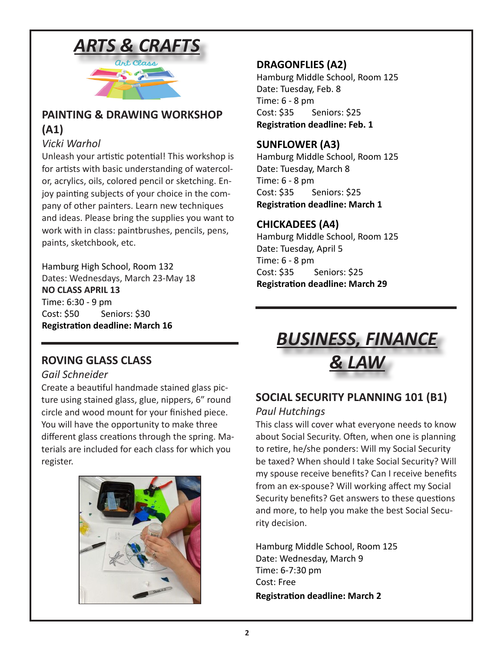

# **PAINTING & DRAWING WORKSHOP (A1)**

### *Vicki Warhol*

Unleash your artistic potential! This workshop is for artists with basic understanding of watercolor, acrylics, oils, colored pencil or sketching. Enjoy painting subjects of your choice in the company of other painters. Learn new techniques and ideas. Please bring the supplies you want to work with in class: paintbrushes, pencils, pens, paints, sketchbook, etc.

Hamburg High School, Room 132 Dates: Wednesdays, March 23-May 18 **NO CLASS APRIL 13** Time: 6:30 - 9 pm Cost: \$50 Seniors: \$30 **Registration deadline: March 16**

### **DRAGONFLIES (A2)**

Hamburg Middle School, Room 125 Date: Tuesday, Feb. 8 Time: 6 - 8 pm Cost: \$35 Seniors: \$25 **Registration deadline: Feb. 1**

### **SUNFLOWER (A3)**

Hamburg Middle School, Room 125 Date: Tuesday, March 8 Time: 6 - 8 pm Cost: \$35 Seniors: \$25 **Registration deadline: March 1**

### **CHICKADEES (A4)**

Hamburg Middle School, Room 125 Date: Tuesday, April 5 Time: 6 - 8 pm Cost: \$35 Seniors: \$25 **Registration deadline: March 29**

### *Gail Schneider*

Create a beautiful handmade stained glass picture using stained glass, glue, nippers, 6" round circle and wood mount for your finished piece. You will have the opportunity to make three different glass creations through the spring. Materials are included for each class for which you register.





# **SOCIAL SECURITY PLANNING 101 (B1)**

### *Paul Hutchings*

This class will cover what everyone needs to know about Social Security. Often, when one is planning to retire, he/she ponders: Will my Social Security be taxed? When should I take Social Security? Will my spouse receive benefits? Can I receive benefits from an ex-spouse? Will working affect my Social Security benefits? Get answers to these questions and more, to help you make the best Social Security decision.

Hamburg Middle School, Room 125 Date: Wednesday, March 9 Time: 6-7:30 pm Cost: Free **Registration deadline: March 2**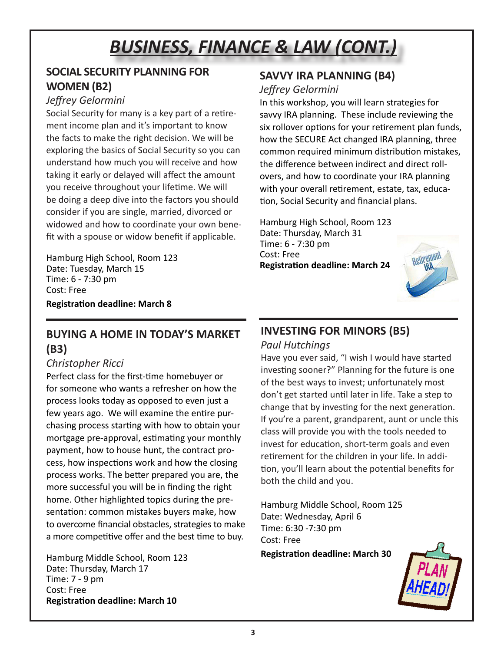# *BUSINESS, FINANCE & LAW (CONT.)*

### **SOCIAL SECURITY PLANNING FOR WOMEN (B2)**

### *Jeffrey Gelormini*

Social Security for many is a key part of a retirement income plan and it's important to know the facts to make the right decision. We will be exploring the basics of Social Security so you can understand how much you will receive and how taking it early or delayed will affect the amount you receive throughout your lifetime. We will be doing a deep dive into the factors you should consider if you are single, married, divorced or widowed and how to coordinate your own benefit with a spouse or widow benefit if applicable.

Hamburg High School, Room 123 Date: Tuesday, March 15 Time: 6 - 7:30 pm Cost: Free **Registration deadline: March 8**

### **BUYING A HOME IN TODAY'S MARKET (B3)**

### *Christopher Ricci*

Perfect class for the first-time homebuyer or for someone who wants a refresher on how the process looks today as opposed to even just a few years ago. We will examine the entire purchasing process starting with how to obtain your mortgage pre-approval, estimating your monthly payment, how to house hunt, the contract process, how inspections work and how the closing process works. The better prepared you are, the more successful you will be in finding the right home. Other highlighted topics during the presentation: common mistakes buyers make, how to overcome financial obstacles, strategies to make a more competitive offer and the best time to buy.

Hamburg Middle School, Room 123 Date: Thursday, March 17 Time: 7 - 9 pm Cost: Free **Registration deadline: March 10**

# **SAVVY IRA PLANNING (B4)**

### *Jeffrey Gelormini*

In this workshop, you will learn strategies for savvy IRA planning. These include reviewing the six rollover options for your retirement plan funds, how the SECURE Act changed IRA planning, three common required minimum distribution mistakes, the difference between indirect and direct rollovers, and how to coordinate your IRA planning with your overall retirement, estate, tax, education, Social Security and financial plans.

Hamburg High School, Room 123 Date: Thursday, March 31 Time: 6 - 7:30 pm Cost: Free **Registration deadline: March 24**



# **INVESTING FOR MINORS (B5)**

### *Paul Hutchings*

Have you ever said, "I wish I would have started investing sooner?" Planning for the future is one of the best ways to invest; unfortunately most don't get started until later in life. Take a step to change that by investing for the next generation. If you're a parent, grandparent, aunt or uncle this class will provide you with the tools needed to invest for education, short-term goals and even retirement for the children in your life. In addition, you'll learn about the potential benefits for both the child and you.

Hamburg Middle School, Room 125 Date: Wednesday, April 6 Time: 6:30 -7:30 pm Cost: Free

**Registration deadline: March 30**

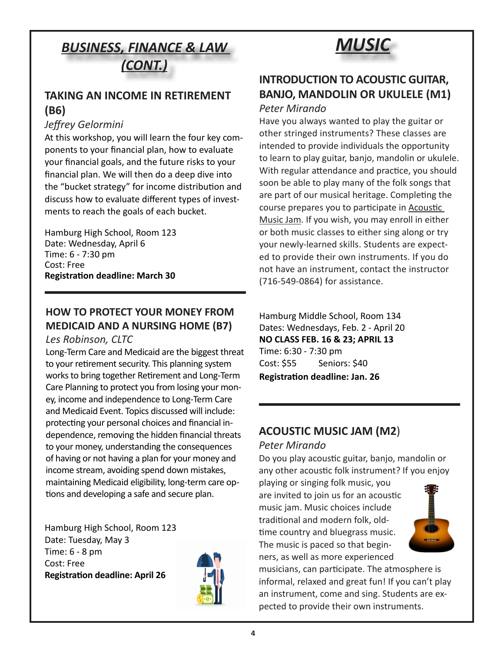# *BUSINESS, FINANCE & LAW (CONT.)*

### **TAKING AN INCOME IN RETIREMENT (B6)**

### *Jeffrey Gelormini*

At this workshop, you will learn the four key components to your financial plan, how to evaluate your financial goals, and the future risks to your financial plan. We will then do a deep dive into the "bucket strategy" for income distribution and discuss how to evaluate different types of investments to reach the goals of each bucket.

Hamburg High School, Room 123 Date: Wednesday, April 6 Time: 6 - 7:30 pm Cost: Free **Registration deadline: March 30**

### **HOW TO PROTECT YOUR MONEY FROM MEDICAID AND A NURSING HOME (B7)**

### *Les Robinson, CLTC*

Long-Term Care and Medicaid are the biggest threat to your retirement security. This planning system works to bring together Retirement and Long-Term Care Planning to protect you from losing your money, income and independence to Long-Term Care and Medicaid Event. Topics discussed will include: protecting your personal choices and financial independence, removing the hidden financial threats to your money, understanding the consequences of having or not having a plan for your money and income stream, avoiding spend down mistakes, maintaining Medicaid eligibility, long-term care options and developing a safe and secure plan.

Hamburg High School, Room 123 Date: Tuesday, May 3 Time: 6 - 8 pm Cost: Free **Registration deadline: April 26**





### **INTRODUCTION TO ACOUSTIC GUITAR, BANJO, MANDOLIN OR UKULELE (M1)** *Peter Mirando*

Have you always wanted to play the guitar or other stringed instruments? These classes are intended to provide individuals the opportunity to learn to play guitar, banjo, mandolin or ukulele. With regular attendance and practice, you should soon be able to play many of the folk songs that are part of our musical heritage. Completing the course prepares you to participate in Acoustic Music Jam. If you wish, you may enroll in either or both music classes to either sing along or try your newly-learned skills. Students are expected to provide their own instruments. If you do not have an instrument, contact the instructor (716-549-0864) for assistance.

Hamburg Middle School, Room 134 Dates: Wednesdays, Feb. 2 - April 20 **NO CLASS FEB. 16 & 23; APRIL 13** Time: 6:30 - 7:30 pm Cost: \$55 Seniors: \$40 **Registration deadline: Jan. 26** 

# **ACOUSTIC MUSIC JAM (M2**)

### *Peter Mirando*

Do you play acoustic guitar, banjo, mandolin or any other acoustic folk instrument? If you enjoy

playing or singing folk music, you are invited to join us for an acoustic music jam. Music choices include traditional and modern folk, oldtime country and bluegrass music. The music is paced so that beginners, as well as more experienced



musicians, can participate. The atmosphere is informal, relaxed and great fun! If you can't play an instrument, come and sing. Students are expected to provide their own instruments.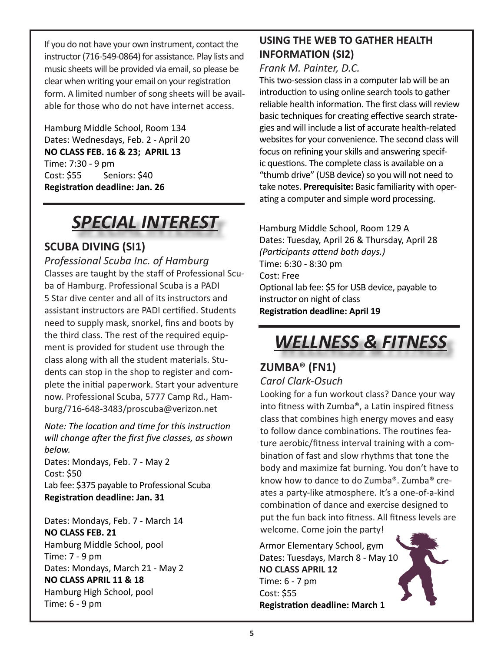If you do not have your own instrument, contact the instructor (716-549-0864) for assistance. Play lists and music sheets will be provided via email, so please be clear when writing your email on your registration form. A limited number of song sheets will be available for those who do not have internet access.

Hamburg Middle School, Room 134 Dates: Wednesdays, Feb. 2 - April 20 **NO CLASS FEB. 16 & 23; APRIL 13** Time: 7:30 - 9 pm Cost: \$55 Seniors: \$40 **Registration deadline: Jan. 26**

# *SPECIAL INTEREST*

# **SCUBA DIVING (SI1)**

*Professional Scuba Inc. of Hamburg* Classes are taught by the staff of Professional Scuba of Hamburg. Professional Scuba is a PADI 5 Star dive center and all of its instructors and assistant instructors are PADI certified. Students need to supply mask, snorkel, fins and boots by the third class. The rest of the required equipment is provided for student use through the class along with all the student materials. Students can stop in the shop to register and complete the initial paperwork. Start your adventure now. Professional Scuba, 5777 Camp Rd., Hamburg/716-648-3483/proscuba@verizon.net

*Note: The location and time for this instruction will change after the first five classes, as shown below.*

Dates: Mondays, Feb. 7 - May 2 Cost: \$50 Lab fee: \$375 payable to Professional Scuba **Registration deadline: Jan. 31**

Dates: Mondays, Feb. 7 - March 14 **NO CLASS FEB. 21** Hamburg Middle School, pool Time: 7 - 9 pm Dates: Mondays, March 21 - May 2 **NO CLASS APRIL 11 & 18** Hamburg High School, pool Time: 6 - 9 pm

# **USING THE WEB TO GATHER HEALTH INFORMATION (SI2)**

### *Frank M. Painter, D.C.*

This two-session class in a computer lab will be an introduction to using online search tools to gather reliable health information. The first class will review basic techniques for creating effective search strategies and will include a list of accurate health-related websites for your convenience. The second class will focus on refining your skills and answering specific questions. The complete class is available on a "thumb drive" (USB device) so you will not need to take notes. **Prerequisite:** Basic familiarity with operating a computer and simple word processing.

Hamburg Middle School, Room 129 A Dates: Tuesday, April 26 & Thursday, April 28 *(Participants attend both days.)* Time: 6:30 - 8:30 pm Cost: Free Optional lab fee: \$5 for USB device, payable to instructor on night of class **Registration deadline: April 19**

# *WELLNESS & FITNESS*

### **ZUMBA® (FN1)** *Carol Clark-Osuch*

Looking for a fun workout class? Dance your way into fitness with Zumba®, a Latin inspired fitness class that combines high energy moves and easy to follow dance combinations. The routines feature aerobic/fitness interval training with a combination of fast and slow rhythms that tone the body and maximize fat burning. You don't have to know how to dance to do Zumba®. Zumba® creates a party-like atmosphere. It's a one-of-a-kind combination of dance and exercise designed to put the fun back into fitness. All fitness levels are welcome. Come join the party!

Armor Elementary School, gym Dates: Tuesdays, March 8 - May 10 N**O CLASS APRIL 12**  Time: 6 - 7 pm Cost: \$55 **Registration deadline: March 1**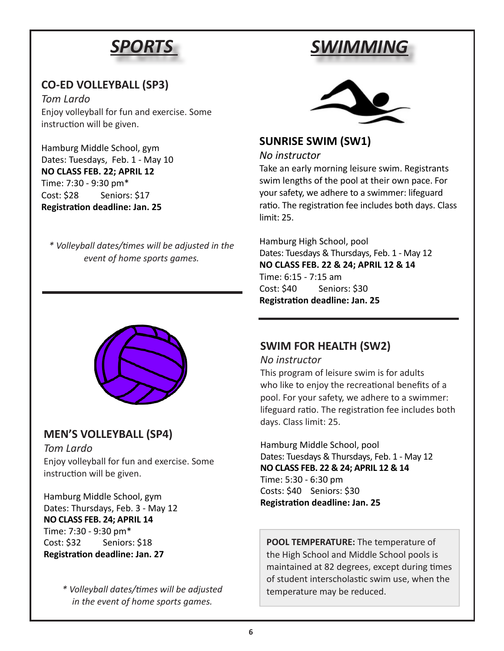# *SPORTS*

# **CO-ED VOLLEYBALL (SP3)**

*Tom Lardo* Enjoy volleyball for fun and exercise. Some instruction will be given.

Hamburg Middle School, gym Dates: Tuesdays, Feb. 1 - May 10 **NO CLASS FEB. 22; APRIL 12** Time: 7:30 - 9:30 pm\* Cost: \$28 Seniors: \$17 **Registration deadline: Jan. 25**

*\* Volleyball dates/times will be adjusted in the event of home sports games.*



### **MEN'S VOLLEYBALL (SP4)**

*Tom Lardo* Enjoy volleyball for fun and exercise. Some instruction will be given.

Hamburg Middle School, gym Dates: Thursdays, Feb. 3 - May 12 **NO CLASS FEB. 24; APRIL 14** Time: 7:30 - 9:30 pm\* Cost: \$32 Seniors: \$18 **Registration deadline: Jan. 27**

> *\* Volleyball dates/times will be adjusted in the event of home sports games.*





### **SUNRISE SWIM (SW1)**

#### *No instructor*

Take an early morning leisure swim. Registrants swim lengths of the pool at their own pace. For your safety, we adhere to a swimmer: lifeguard ratio. The registration fee includes both days. Class limit: 25.

Hamburg High School, pool Dates: Tuesdays & Thursdays, Feb. 1 - May 12 **NO CLASS FEB. 22 & 24; APRIL 12 & 14** Time: 6:15 - 7:15 am Cost: \$40 Seniors: \$30 **Registration deadline: Jan. 25**

# **SWIM FOR HEALTH (SW2)**

### *No instructor*

This program of leisure swim is for adults who like to enjoy the recreational benefits of a pool. For your safety, we adhere to a swimmer: lifeguard ratio. The registration fee includes both days. Class limit: 25.

Hamburg Middle School, pool Dates: Tuesdays & Thursdays, Feb. 1 - May 12 **NO CLASS FEB. 22 & 24; APRIL 12 & 14** Time: 5:30 - 6:30 pm Costs: \$40 Seniors: \$30 **Registration deadline: Jan. 25**

**POOL TEMPERATURE:** The temperature of the High School and Middle School pools is maintained at 82 degrees, except during times of student interscholastic swim use, when the temperature may be reduced.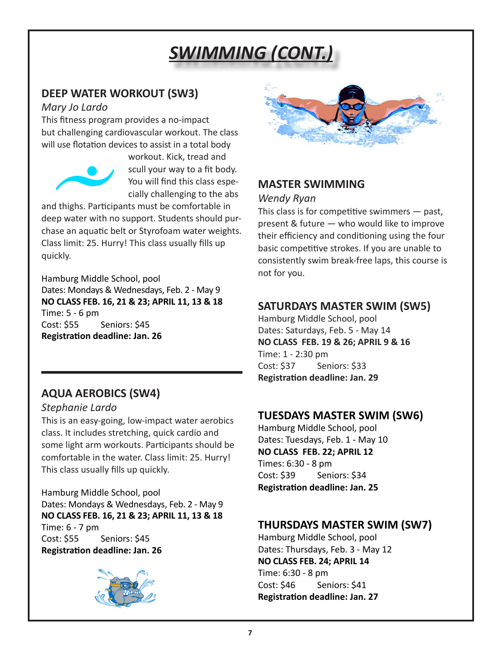# *SWIMMING (CONT.)*

### **DEEP WATER WORKOUT (SW3)**

### *Mary Jo Lardo*

This fitness program provides a no‐impact but challenging cardiovascular workout. The class will use flotation devices to assist in a total body



workout. Kick, tread and scull your way to a fit body. You will find this class especially challenging to the abs

and thighs. Participants must be comfortable in deep water with no support. Students should purchase an aquatic belt or Styrofoam water weights. Class limit: 25. Hurry! This class usually fills up quickly.

Hamburg Middle School, pool Dates: Mondays & Wednesdays, Feb. 2 - May 9 **NO CLASS FEB. 16, 21 & 23; APRIL 11, 13 & 18** Time: 5 - 6 pm Cost: \$55 Seniors: \$45 **Registration deadline: Jan. 26**

# **AQUA AEROBICS (SW4)**

### *Stephanie Lardo*

This is an easy‐going, low‐impact water aerobics class. It includes stretching, quick cardio and some light arm workouts. Participants should be comfortable in the water. Class limit: 25. Hurry! This class usually fills up quickly.

Hamburg Middle School, pool Dates: Mondays & Wednesdays, Feb. 2 - May 9 **NO CLASS FEB. 16, 21 & 23; APRIL 11, 13 & 18** Time: 6 - 7 pm Cost: \$55 Seniors: \$45 **Registration deadline: Jan. 26**





# **MASTER SWIMMING**

### *Wendy Ryan*

This class is for competitive swimmers — past, present & future — who would like to improve their efficiency and conditioning using the four basic competitive strokes. If you are unable to consistently swim break‐free laps, this course is not for you.

# **SATURDAYS MASTER SWIM (SW5)**

Hamburg Middle School, pool Dates: Saturdays, Feb. 5 - May 14 **NO CLASS FEB. 19 & 26; APRIL 9 & 16** Time: 1 - 2:30 pm Cost: \$37 Seniors: \$33 **Registration deadline: Jan. 29**

# **TUESDAYS MASTER SWIM (SW6)**

Hamburg Middle School, pool Dates: Tuesdays, Feb. 1 - May 10 **NO CLASS FEB. 22; APRIL 12** Times: 6:30 - 8 pm Cost: \$39 Seniors: \$34 **Registration deadline: Jan. 25**

# **THURSDAYS MASTER SWIM (SW7)**

Hamburg Middle School, pool Dates: Thursdays, Feb. 3 - May 12 **NO CLASS FEB. 24; APRIL 14** Time: 6:30 - 8 pm Cost: \$46 Seniors: \$41 **Registration deadline: Jan. 27**